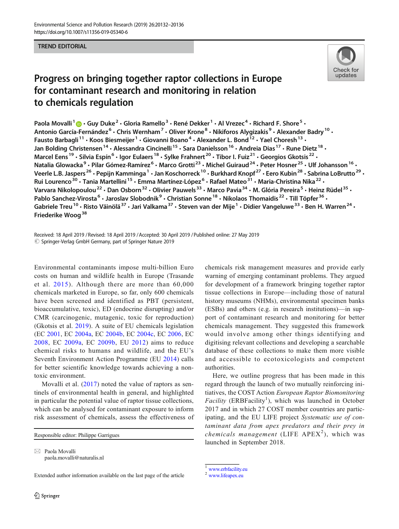## TREND EDITORIAL



## Progress on bringing together raptor collections in Europe for contaminant research and monitoring in relation to chemicals regulation

Paola Movalli<sup>1</sup>  $\cdot$  Guy Duke<sup>2</sup>  $\cdot$  Gloria Ramello<sup>3</sup>  $\cdot$  René Dekker<sup>1</sup>  $\cdot$  Al Vrezec<sup>4</sup>  $\cdot$  Richard F. Shore<sup>5</sup>  $\cdot$ Antonio García-Fernández<sup>6</sup> • Chris Wernham<sup>7</sup> • Oliver Krone<sup>8</sup> • Nikiforos Alygizakis<sup>9</sup> • Alexander Badry<sup>10</sup> • Fausto Barbagli<sup>11</sup> • Koos Biesmeijer<sup>1</sup> • Giovanni Boano<sup>4</sup> • Alexander L. Bond<sup>12</sup> • Yael Choresh<sup>13</sup> • Jan Bolding Christensen<sup>14</sup> · Alessandra Cincinelli<sup>15</sup> · Sara Danielsson<sup>16</sup> · Andreia Dias<sup>17</sup> · Rune Dietz<sup>18</sup> · Marcel Eens<sup>19</sup> · Silvia Espín<sup>6</sup> · Igor Eulaers<sup>18</sup> · Sylke Frahnert<sup>20</sup> · Tibor I. Fuiz<sup>21</sup> · Georgios Gkotsis<sup>22</sup> · Natalia Glowacka<sup>9</sup> · Pilar Gómez-Ramírez<sup>6</sup> · Marco Grotti<sup>23</sup> · Michel Guiraud<sup>24</sup> · Peter Hosner<sup>25</sup> · Ulf Johansson<sup>16</sup> · Veerle L.B. Jaspers<sup>26</sup> · Pepijn Kamminga<sup>1</sup> · Jan Koschorreck<sup>10</sup> · Burkhard Knopf<sup>27</sup> · Eero Kubin<sup>28</sup> · Sabrina LoBrutto<sup>29</sup> · Rui Lourenco<sup>30</sup> • Tania Martellini<sup>15</sup> • Emma Martínez-López<sup>6</sup> • Rafael Mateo<sup>31</sup> • Maria-Christina Nika<sup>22</sup> • Varvara Nikolopoulou<sup>22</sup> · Dan Osborn<sup>32</sup> · Olivier Pauwels<sup>33</sup> · Marco Pavia<sup>34</sup> · M. Glória Pereira<sup>5</sup> · Heinz Rüdel<sup>35</sup> · Pablo Sanchez-Virosta<sup>6</sup> • Jaroslav Slobodnik<sup>9</sup> • Christian Sonne<sup>18</sup> • Nikolaos Thomaidis<sup>22</sup> • Till Töpfer<sup>36</sup> • Gabriele Treu<sup>10</sup> • Risto Väinölä<sup>37</sup> • Jari Valkama<sup>37</sup> • Steven van der Mije<sup>1</sup> • Didier Vangeluwe<sup>33</sup> • Ben H. Warren<sup>24</sup> • Friederike Woog<sup>38</sup>

Received: 18 April 2019 / Revised: 18 April 2019 /Accepted: 30 April 2019 /Published online: 27 May 2019  $\oslash$  Springer-Verlag GmbH Germany, part of Springer Nature 2019

Environmental contaminants impose multi-billion Euro costs on human and wildlife health in Europe (Trasande et al. [2015](#page-3-0)). Although there are more than 60,000 chemicals marketed in Europe, so far, only 600 chemicals have been screened and identified as PBT (persistent, bioaccumulative, toxic), ED (endocrine disrupting) and/or CMR (carcinogenic, mutagenic, toxic for reproduction) (Gkotsis et al. [2019\)](#page-2-0). A suite of EU chemicals legislation (EC [2001](#page-2-0), EC [2004a,](#page-2-0) EC [2004b](#page-2-0), EC [2004c](#page-2-0), EC [2006,](#page-2-0) EC [2008](#page-2-0), EC [2009a,](#page-2-0) EC [2009b](#page-2-0), EU [2012\)](#page-2-0) aims to reduce chemical risks to humans and wildlife, and the EU's Seventh Environment Action Programme (EU [2014](#page-2-0)) calls for better scientific knowledge towards achieving a nontoxic environment.

Movalli et al. [\(2017\)](#page-3-0) noted the value of raptors as sentinels of environmental health in general, and highlighted in particular the potential value of raptor tissue collections, which can be analysed for contaminant exposure to inform risk assessment of chemicals, assess the effectiveness of

Responsible editor: Philippe Garrigues

 $\boxtimes$  Paola Movalli [paola.movalli@naturalis.nl](mailto:paola.movalli@naturalis.nl)

Extended author information available on the last page of the article

chemicals risk management measures and provide early warning of emerging contaminant problems. They argued for development of a framework bringing together raptor tissue collections in Europe—including those of natural history museums (NHMs), environmental specimen banks (ESBs) and others (e.g. in research institutions)—in support of contaminant research and monitoring for better chemicals management. They suggested this framework would involve among other things identifying and digitising relevant collections and developing a searchable database of these collections to make them more visible and accessible to ecotoxicologists and competent authorities.

Here, we outline progress that has been made in this regard through the launch of two mutually reinforcing initiatives, the COST Action European Raptor Biomonitoring Facility (ERBFacility<sup>1</sup>), which was launched in October 2017 and in which 27 COST member countries are participating, and the EU LIFE project Systematic use of contaminant data from apex predators and their prey in chemicals management (LIFE  $APEX<sup>2</sup>$ ), which was launched in September 2018.

<sup>2</sup> [www.lifeapex.eu](http://www.lifeapex.eu)

<sup>&</sup>lt;sup>1</sup> [www.erbfacility.eu](http://www.erbfacility.eu)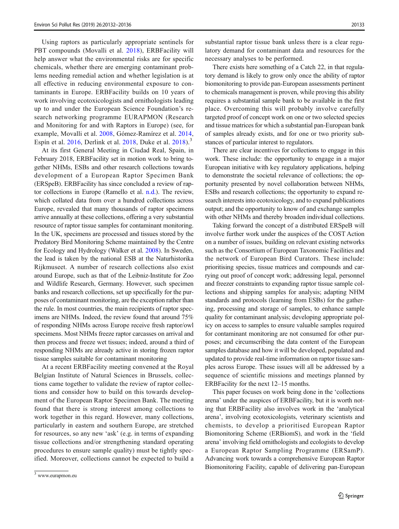Using raptors as particularly appropriate sentinels for PBT compounds (Movalli et al. [2018\)](#page-3-0), ERBFacility will help answer what the environmental risks are for specific chemicals, whether there are emerging contaminant problems needing remedial action and whether legislation is at all effective in reducing environmental exposure to contaminants in Europe. ERBFacility builds on 10 years of work involving ecotoxicologists and ornithologists leading up to and under the European Science Foundation's research networking programme EURAPMON (Research and Monitoring for and with Raptors in Europe) (see, for example, Movalli et al. [2008,](#page-3-0) Gómez-Ramírez et al. [2014,](#page-3-0) Espín et al.  $2016$ , Derlink et al.  $2018$ , Duke et al.  $2018$ ).<sup>3</sup>

At its first General Meeting in Ciudad Real, Spain, in February 2018, ERBFacility set in motion work to bring together NHMs, ESBs and other research collections towards development of a European Raptor Specimen Bank (ERSpeB). ERBFacility has since concluded a review of raptor collections in Europe (Ramello et al. [n.d.\)](#page-3-0). The review, which collated data from over a hundred collections across Europe, revealed that many thousands of raptor specimens arrive annually at these collections, offering a very substantial resource of raptor tissue samples for contaminant monitoring. In the UK, specimens are processed and tissues stored by the Predatory Bird Monitoring Scheme maintained by the Centre for Ecology and Hydrology (Walker et al. [2008\)](#page-3-0). In Sweden, the lead is taken by the national ESB at the Naturhistorika Rijkmuseet. A number of research collections also exist around Europe, such as that of the Leibniz-Institute for Zoo and Wildlife Research, Germany. However, such specimen banks and research collections, set up specifically for the purposes of contaminant monitoring, are the exception rather than the rule. In most countries, the main recipients of raptor specimens are NHMs. Indeed, the review found that around 75% of responding NHMs across Europe receive fresh raptor/owl specimens. Most NHMs freeze raptor carcasses on arrival and then process and freeze wet tissues; indeed, around a third of responding NHMs are already active in storing frozen raptor tissue samples suitable for contaminant monitoring

At a recent ERBFacility meeting convened at the Royal Belgian Institute of Natural Sciences in Brussels, collections came together to validate the review of raptor collections and consider how to build on this towards development of the European Raptor Specimen Bank. The meeting found that there is strong interest among collections to work together in this regard. However, many collections, particularly in eastern and southern Europe, are stretched for resources, so any new 'ask' (e.g. in terms of expanding tissue collections and/or strengthening standard operating procedures to ensure sample quality) must be tightly specified. Moreover, collections cannot be expected to build a substantial raptor tissue bank unless there is a clear regulatory demand for contaminant data and resources for the necessary analyses to be performed.

There exists here something of a Catch 22, in that regulatory demand is likely to grow only once the ability of raptor biomonitoring to provide pan-European assessments pertinent to chemicals management is proven, while proving this ability requires a substantial sample bank to be available in the first place. Overcoming this will probably involve carefully targeted proof of concept work on one or two selected species and tissue matrices for which a substantial pan-European bank of samples already exists, and for one or two priority substances of particular interest to regulators.

There are clear incentives for collections to engage in this work. These include: the opportunity to engage in a major European initiative with key regulatory applications, helping to demonstrate the societal relevance of collections; the opportunity presented by novel collaboration between NHMs, ESBs and research collections; the opportunity to expand research interests into ecotoxicology, and to expand publications output; and the opportunity to know of and exchange samples with other NHMs and thereby broaden individual collections.

Taking forward the concept of a distributed ERSpeB will involve further work under the auspices of the COST Action on a number of issues, building on relevant existing networks such as the Consortium of European Taxonomic Facilities and the network of European Bird Curators. These include: prioritising species, tissue matrices and compounds and carrying out proof of concept work; addressing legal, personnel and freezer constraints to expanding raptor tissue sample collections and shipping samples for analysis; adapting NHM standards and protocols (learning from ESBs) for the gathering, processing and storage of samples, to enhance sample quality for contaminant analysis; developing appropriate policy on access to samples to ensure valuable samples required for contaminant monitoring are not consumed for other purposes; and circumscribing the data content of the European samples database and how it will be developed, populated and updated to provide real-time information on raptor tissue samples across Europe. These issues will all be addressed by a sequence of scientific missions and meetings planned by ERBFacility for the next 12–15 months.

This paper focuses on work being done in the 'collections arena' under the auspices of ERBFacility, but it is worth noting that ERBFacility also involves work in the 'analytical arena', involving ecotoxicologists, veterinary scientists and chemists, to develop a prioritised European Raptor Biomonitoring Scheme (ERBiomS), and work in the 'field arena' involving field ornithologists and ecologists to develop a European Raptor Sampling Programme (ERSamP). Advancing work towards a comprehensive European Raptor Biomonitoring Facility, capable of delivering pan-European

<sup>3</sup> www.eurapmon.eu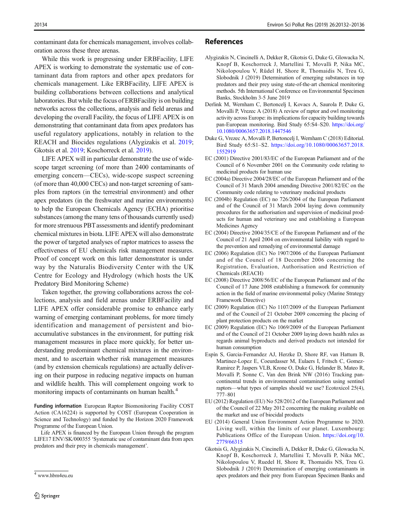<span id="page-2-0"></span>contaminant data for chemicals management, involves collaboration across these three arenas.

While this work is progressing under ERBFacility, LIFE APEX is working to demonstrate the systematic use of contaminant data from raptors and other apex predators for chemicals management. Like ERBFacility, LIFE APEX is building collaborations between collections and analytical laboratories. But while the focus of ERBFacility is on building networks across the collections, analysis and field arenas and developing the overall Facility, the focus of LIFE APEX is on demonstrating that contaminant data from apex predators has useful regulatory applications, notably in relation to the REACH and Biocides regulations (Alygizakis et al. 2019; Gkotsis et al. 2019; Koschorreck et al. [2019\)](#page-3-0).

LIFE APEX will in particular demonstrate the use of widescope target screening (of more than 2400 contaminants of emerging concern—CECs), wide-scope suspect screening (of more than 40,000 CECs) and non-target screening of samples from raptors (in the terrestrial environment) and other apex predators (in the freshwater and marine environments) to help the European Chemicals Agency (ECHA) prioritise substances (among the many tens of thousands currently used) for more strenuous PBT assessments and identify predominant chemical mixtures in biota. LIFE APEX will also demonstrate the power of targeted analyses of raptor matrices to assess the effectiveness of EU chemicals risk management measures. Proof of concept work on this latter demonstrator is under way by the Naturalis Biodiversity Center with the UK Centre for Ecology and Hydrology (which hosts the UK Predatory Bird Monitoring Scheme)

Taken together, the growing collaborations across the collections, analysis and field arenas under ERBFacility and LIFE APEX offer considerable promise to enhance early warning of emerging contaminant problems, for more timely identification and management of persistent and bioaccumulative substances in the environment, for putting risk management measures in place more quickly, for better understanding predominant chemical mixtures in the environment, and to ascertain whether risk management measures (and by extension chemicals regulations) are actually delivering on their purpose in reducing negative impacts on human and wildlife health. This will complement ongoing work to monitoring impacts of contaminants on human health.<sup>4</sup>

Funding information European Raptor Biomonitoring Facility COST Action (CA16224) is supported by COST (European Cooperation in Science and Technology) and funded by the Horizon 2020 Framework Programme of the European Union.

Life APEX is financed by the European Union through the program LIFE17 ENV/SK/000355 'Systematic use of contaminant data from apex predators and their prey in chemicals management'.

## References

- Alygizakis N, Cincinelli A, Dekker R, Gkotsis G, Duke G, Glowacka N, Knopf B, Koschorreck J, Martellini T, Movalli P, Nika MC, Nikolopoulou V, Rüdel H, Shore R, Thomaidis N, Treu G, Slobodnik J (2019) Determination of emerging substances in top predators and their prey using state-of-the-art chemical monitoring methods. 5th International Conference on Environmental Specimen Banks, Stockholm 3-5 June 2019
- Derlink M, Wernham C, Bertoncelj I, Kovacs A, Saurola P, Duke G, Movalli P, Vrezec A (2018) A review of raptor and owl monitoring activity across Europe: its implications for capacity building towards pan-European monitoring. Bird Study 65:S4–S20. [https://doi.org/](https://doi.org/10.1080/00063657.2018.1447546) [10.1080/00063657.2018.1447546](https://doi.org/10.1080/00063657.2018.1447546)
- Duke G, Vrezec A, Movalli P, Bertoncelj I, Wernham C (2018) Editorial. Bird Study 65:S1–S2. [https://doi.org/10.1080/00063657.2018.](https://doi.org/10.1080/00063657.2018.1552919) [1552919](https://doi.org/10.1080/00063657.2018.1552919)
- EC (2001) Directive 2001/83/EC of the European Parliament and of the Council of 6 November 2001 on the Community code relating to medicinal products for human use
- EC (2004a) Directive 2004/28/EC of the European Parliament and of the Council of 31 March 2004 amending Directive 2001/82/EC on the Community code relating to veterinary medicinal products
- EC (2004b) Regulation (EC) no 726/2004 of the European Parliament and of the Council of 31 March 2004 laying down community procedures for the authorisation and supervision of medicinal products for human and veterinary use and establishing a European Medicines Agency
- EC (2004) Directive 2004/35/CE of the European Parliament and of the Council of 21 April 2004 on environmental liability with regard to the prevention and remedying of environmental damage
- EC (2006) Regulation (EC) No 1907/2006 of the European Parliament and of the Council of 18 December 2006 concerning the Registration, Evaluation, Authorisation and Restriction of Chemicals (REACH)
- EC (2008) Directive 2008/56/EC of the European Parliament and of the Council of 17 June 2008 establishing a framework for community action in the field of marine environmental policy (Marine Strategy Framework Directive)
- EC (2009) Regulation (EC) No 1107/2009 of the European Parliament and of the Council of 21 October 2009 concerning the placing of plant protection products on the market
- EC (2009) Regulation (EC) No 1069/2009 of the European Parliament and of the Council of 21 October 2009 laying down health rules as regards animal byproducts and derived products not intended for human consumption
- Espín S, Garcia-Fernandez AJ, Herzke D, Shore RF, van Hattum B, Martinez-Lopez E, Coeurdasser M, Eulaers I, Fritsch C, Gomez-Ramirez P, Jaspers VLB, Krone O, Duke G, Helander B, Mateo R, Movalli P, Sonne C, Van den Brink NW (2016) Tracking pancontinental trends in environmental contamination using sentinel raptors—what types of samples should we use? Ecotoxicol 25(4), 777–801
- EU (2012) Regulation (EU) No 528/2012 of the European Parliament and of the Council of 22 May 2012 concerning the making available on the market and use of biocidal products
- EU (2014) General Union Environment Action Programme to 2020. Living well, within the limits of our planet. Luxembourg: Publications Office of the European Union. [https://doi.org/10.](https://doi.org/10.2779/66315) [2779/66315](https://doi.org/10.2779/66315)
- Gkotsis G, Alygizakis N, Cincinelli A, Dekker R, Duke G, Glowacka N, Knopf B, Koschorreck J, Martellini T, Movalli P, Nika MC, Nikolopoulou V, Ruedel H, Shore R, Thomaidis NS, Treu G. Slobodnik J (2019) Determination of emerging contaminants in apex predators and their prey from European Specimen Banks and <sup>4</sup> www.hbm4eu.eu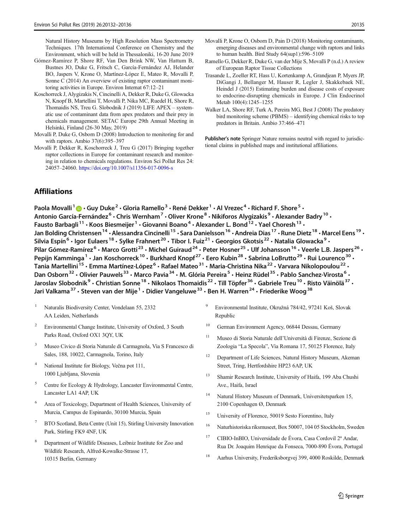<span id="page-3-0"></span>Natural History Museums by High Resolution Mass Spectrometry Techniques. 17th International Conference on Chemistry and the Environment, which will be held in Thessaloniki, 16-20 June 2019

- Gómez-Ramírez P, Shore RF, Van Den Brink NW, Van Hattum B, Bustnes JO, Duke G, Fritsch C, García-Fernández AJ, Helander BO, Jaspers V, Krone O, Martínez-López E, Mateo R, Movalli P, Sonne C (2014) An overview of existing raptor contaminant monitoring activities in Europe. Environ Internat 67:12–21
- Koschorreck J, Alygizakis N, Cincinelli A, Dekker R, Duke G, Glowacka N, Knopf B, Martellini T, Movalli P, Nika MC, Ruedel H, Shore R, Thomaidis NS, Treu G. Slobodnik J (2019) LIFE APEX – systematic use of contaminant data from apex predators and their prey in chemicals management. SETAC Europe 29th Annual Meeting in Helsinki, Finland (26-30 May, 2019)
- Movalli P, Duke G, Osborn D (2008) Introduction to monitoring for and with raptors. Ambio 37(6):395–397
- Movalli P, Dekker R, Koschorreck J, Treu G (2017) Bringing together raptor collections in Europe for contaminant research and monitoring in relation to chemicals regulations. Environ Sci Pollut Res 24: 24057–24060. <https://doi.org/10.1007/s11356-017-0096-s>
- Movalli P, Krone O, Osborn D, Pain D (2018) Monitoring contaminants, emerging diseases and environmental change with raptors and links to human health. Bird Study 64(sup1):596–5109
- Ramello G, Dekker R, Duke G, van der Mije S, Movalli P (n.d.) A review of European Raptor Tissue Collections
- Trasande L, Zoeller RT, Hass U, Kortenkamp A, Grandjean P, Myers JP, DiGangi J, Bellanger M, Hauser R, Legler J, Skakkebaek NE, Heindel J (2015) Estimating burden and disease costs of exposure to endocrine-disrupting chemicals in Europe. J Clin Endocrinol Metab 100(4):1245–1255
- Walker LA, Shore RF, Turk A, Pereira MG, Best J (2008) The predatory bird monitoring scheme (PBMS) – identifying chemical risks to top predators in Britain. Ambio 37:466–471

Publisher's note Springer Nature remains neutral with regard to jurisdictional claims in published maps and institutional affiliations.

## **Affiliations**

Paola Movalli<sup>1</sup>  $\cdot$  Guy Duke<sup>2</sup>  $\cdot$  Gloria Ramello<sup>3</sup>  $\cdot$  René Dekker<sup>1</sup>  $\cdot$  Al Vrezec<sup>4</sup>  $\cdot$  Richard F. Shore<sup>5</sup>  $\cdot$ Antonio García-Fernández<sup>6</sup> • Chris Wernham<sup>7</sup> • Oliver Krone<sup>8</sup> • Nikiforos Alygizakis<sup>9</sup> • Alexander Badry<sup>10</sup> • Fausto Barbagli<sup>11</sup> • Koos Biesmeijer<sup>1</sup> • Giovanni Boano<sup>4</sup> • Alexander L. Bond<sup>12</sup> • Yael Choresh<sup>13</sup> • Jan Bolding Christensen<sup>14</sup> • Alessandra Cincinelli<sup>15</sup> • Sara Danielsson<sup>16</sup> • Andreia Dias<sup>17</sup> • Rune Dietz<sup>18</sup> • Marcel Eens<sup>19</sup> • Silvia Espín<sup>6</sup> · Igor Eulaers<sup>18</sup> · Sylke Frahnert<sup>20</sup> · Tibor I. Fuiz<sup>21</sup> · Georgios Gkotsis<sup>22</sup> · Natalia Glowacka<sup>9</sup> · Pilar Gómez-Ramírez<sup>6</sup> • Marco Grotti<sup>23</sup> • Michel Guiraud<sup>24</sup> • Peter Hosner<sup>25</sup> • Ulf Johansson<sup>16</sup> • Veerle L.B. Jaspers<sup>26</sup> • Pepijn Kamminga<sup>1</sup> · Jan Koschorreck<sup>10</sup> · Burkhard Knopf<sup>27</sup> · Eero Kubin<sup>28</sup> · Sabrina LoBrutto<sup>29</sup> · Rui Lourenco<sup>30</sup> · Tania Martellini<sup>15</sup> · Emma Martínez-López<sup>6</sup> · Rafael Mateo<sup>31</sup> · Maria-Christina Nika<sup>22</sup> · Varvara Nikolopoulou<sup>22</sup> · Dan Osborn<sup>32</sup> · Olivier Pauwels<sup>33</sup> · Marco Pavia<sup>34</sup> · M. Glória Pereira<sup>5</sup> · Heinz Rüdel<sup>35</sup> · Pablo Sanchez-Virosta<sup>6</sup> · Jaroslav Slobodnik<sup>9</sup> • Christian Sonne<sup>18</sup> • Nikolaos Thomaidis<sup>22</sup> • Till Töpfer<sup>36</sup> • Gabriele Treu<sup>10</sup> • Risto Väinölä<sup>37</sup> • Jari Valkama<sup>37</sup> • Steven van der Mije<sup>1</sup> • Didier Vangeluwe<sup>33</sup> • Ben H. Warren<sup>24</sup> • Friederike Woog<sup>38</sup>

- <sup>1</sup> Naturalis Biodiversity Center, Vondelaan 55, 2332 AA Leiden, Netherlands
- <sup>2</sup> Environmental Change Institute, University of Oxford, 3 South Parks Road, Oxford OX1 3QY, UK
- <sup>3</sup> Museo Civico di Storia Naturale di Carmagnola, Via S Francesco di Sales, 188, 10022, Carmagnola, Torino, Italy
- National Institute for Biology, Večna pot 111, 1000 Ljubljana, Slovenia
- <sup>5</sup> Centre for Ecology & Hydrology, Lancaster Environmental Centre, Lancaster LA1 4AP, UK
- <sup>6</sup> Area of Toxicology, Department of Health Sciences, University of Murcia, Campus de Espinardo, 30100 Murcia, Spain
- <sup>7</sup> BTO Scotland, Beta Centre (Unit 15), Stirling University Innovation Park, Stirling FK9 4NF, UK
- <sup>8</sup> Department of Wildlife Diseases, Leibniz Institute for Zoo and Wildlife Research, Alfred-Kowalke-Strasse 17, 10315 Berlin, Germany
- <sup>9</sup> Environmental Institute, Okružná 784/42, 97241 Koš, Slovak Republic
- <sup>10</sup> German Environment Agency, 06844 Dessau, Germany
- <sup>11</sup> Museo di Storia Naturale dell'Università di Firenze, Sezione di Zoologia "La Specola", Via Romana 17, 50125 Florence, Italy
- <sup>12</sup> Department of Life Sciences, Natural History Museum, Akeman Street, Tring, Hertfordshire HP23 6AP, UK
- <sup>13</sup> Shamir Research Institute, University of Haifa, 199 Aba Chushi Ave., Haifa, Israel
- <sup>14</sup> Natural History Museum of Denmark, Universitetsparken 15, 2100 Copenhagen Ø, Denmark
- <sup>15</sup> University of Florence, 50019 Sesto Fiorentino, Italy
- <sup>16</sup> Naturhistoriska riksmuseet, Box 50007, 104 05 Stockholm, Sweden
- <sup>17</sup> CIBIO-InBIO, Universidade de Évora, Casa Cordovil 2ª Andar, Rua Dr. Joaquim Henrique da Fonseca, 7000-890 Évora, Portugal
- <sup>18</sup> Aarhus University, Frederiksborgvej 399, 4000 Roskilde, Denmark